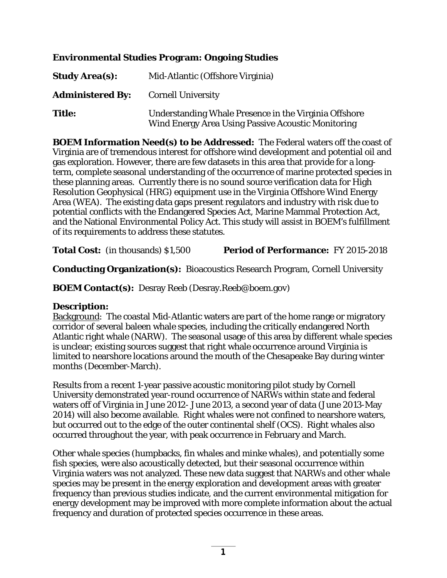## **Environmental Studies Program: Ongoing Studies**

| <b>Study Area(s):</b>   | Mid-Atlantic (Offshore Virginia)                                                                            |
|-------------------------|-------------------------------------------------------------------------------------------------------------|
| <b>Administered By:</b> | <b>Cornell University</b>                                                                                   |
| <b>Title:</b>           | Understanding Whale Presence in the Virginia Offshore<br>Wind Energy Area Using Passive Acoustic Monitoring |

**BOEM Information Need(s) to be Addressed:** The Federal waters off the coast of Virginia are of tremendous interest for offshore wind development and potential oil and gas exploration. However, there are few datasets in this area that provide for a longterm, complete seasonal understanding of the occurrence of marine protected species in these planning areas. Currently there is no sound source verification data for High Resolution Geophysical (HRG) equipment use in the Virginia Offshore Wind Energy Area (WEA). The existing data gaps present regulators and industry with risk due to potential conflicts with the Endangered Species Act, Marine Mammal Protection Act, and the National Environmental Policy Act. This study will assist in BOEM's fulfillment of its requirements to address these statutes.

**Total Cost:** (in thousands) \$1,500 **Period of Performance:** FY 2015-2018

**Conducting Organization(s):** Bioacoustics Research Program, Cornell University

**BOEM Contact(s):** Desray Reeb (Desray.Reeb@boem.gov)

## **Description:**

Background: The coastal Mid-Atlantic waters are part of the home range or migratory corridor of several baleen whale species, including the critically endangered North Atlantic right whale (NARW). The seasonal usage of this area by different whale species is unclear; existing sources suggest that right whale occurrence around Virginia is limited to nearshore locations around the mouth of the Chesapeake Bay during winter months (December-March).

Results from a recent 1-year passive acoustic monitoring pilot study by Cornell University demonstrated year-round occurrence of NARWs within state and federal waters off of Virginia in June 2012- June 2013, a second year of data (June 2013-May 2014) will also become available. Right whales were not confined to nearshore waters, but occurred out to the edge of the outer continental shelf (OCS). Right whales also occurred throughout the year, with peak occurrence in February and March.

Other whale species (humpbacks, fin whales and minke whales), and potentially some fish species, were also acoustically detected, but their seasonal occurrence within Virginia waters was not analyzed. These new data suggest that NARWs and other whale species may be present in the energy exploration and development areas with greater frequency than previous studies indicate, and the current environmental mitigation for energy development may be improved with more complete information about the actual frequency and duration of protected species occurrence in these areas.